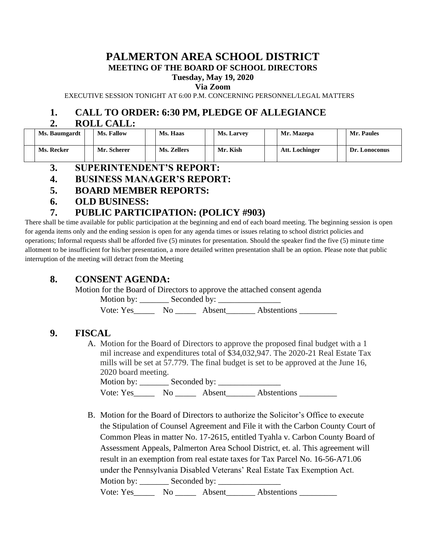### **PALMERTON AREA SCHOOL DISTRICT MEETING OF THE BOARD OF SCHOOL DIRECTORS**

#### **Tuesday, May 19, 2020**

**Via Zoom**

EXECUTIVE SESSION TONIGHT AT 6:00 P.M. CONCERNING PERSONNEL/LEGAL MATTERS

# **1. CALL TO ORDER: 6:30 PM, PLEDGE OF ALLEGIANCE**

#### **2. ROLL CALL:**

| Ms. Baumgardt | <b>Ms. Fallow</b> | Ms. Haas    | <b>Ms. Larvey</b> | Mr. Mazepa     | Mr. Paules         |
|---------------|-------------------|-------------|-------------------|----------------|--------------------|
| Ms. Recker    | Mr. Scherer       | Ms. Zellers | Mr. Kish          | Att. Lochinger | Dr.<br>. Lonoconus |

- **3. SUPERINTENDENT'S REPORT:**
- **4. BUSINESS MANAGER'S REPORT:**
- **5. BOARD MEMBER REPORTS:**
- **6. OLD BUSINESS:**

# **7. PUBLIC PARTICIPATION: (POLICY #903)**

There shall be time available for public participation at the beginning and end of each board meeting. The beginning session is open for agenda items only and the ending session is open for any agenda times or issues relating to school district policies and operations; Informal requests shall be afforded five (5) minutes for presentation. Should the speaker find the five (5) minute time allotment to be insufficient for his/her presentation, a more detailed written presentation shall be an option. Please note that public interruption of the meeting will detract from the Meeting

# **8. CONSENT AGENDA:**

Motion for the Board of Directors to approve the attached consent agenda

Motion by: \_\_\_\_\_\_\_ Seconded by: \_\_\_\_\_\_\_\_\_\_\_\_\_\_\_

Vote: Yes\_\_\_\_\_\_\_ No \_\_\_\_\_\_\_ Absent\_\_\_\_\_\_\_\_ Abstentions \_\_\_\_\_\_\_\_\_\_\_\_

# **9. FISCAL**

A. Motion for the Board of Directors to approve the proposed final budget with a 1 mil increase and expenditures total of \$34,032,947. The 2020-21 Real Estate Tax mills will be set at 57.779. The final budget is set to be approved at the June 16, 2020 board meeting.

Motion by: Seconded by: Vote: Yes\_\_\_\_\_\_\_ No \_\_\_\_\_\_\_ Absent\_\_\_\_\_\_\_\_ Abstentions \_\_\_\_\_\_\_\_\_\_\_

B. Motion for the Board of Directors to authorize the Solicitor's Office to execute the Stipulation of Counsel Agreement and File it with the Carbon County Court of Common Pleas in matter No. 17-2615, entitled Tyahla v. Carbon County Board of Assessment Appeals, Palmerton Area School District, et. al. This agreement will result in an exemption from real estate taxes for Tax Parcel No. 16-56-A71.06 under the Pennsylvania Disabled Veterans' Real Estate Tax Exemption Act. Motion by: \_\_\_\_\_\_\_ Seconded by: \_\_\_\_\_\_\_\_\_\_\_\_\_\_\_ Vote: Yes\_\_\_\_\_\_\_ No \_\_\_\_\_\_ Absent\_\_\_\_\_\_\_ Abstentions \_\_\_\_\_\_\_\_\_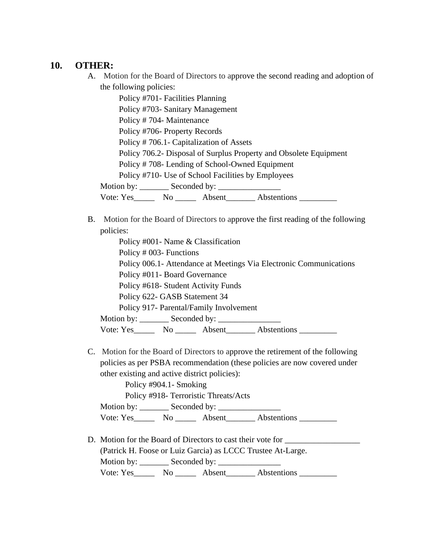#### **10. OTHER:**

A. Motion for the Board of Directors to approve the second reading and adoption of the following policies:

Policy #701- Facilities Planning Policy #703- Sanitary Management Policy # 704- Maintenance Policy #706- Property Records Policy # 706.1- Capitalization of Assets Policy 706.2- Disposal of Surplus Property and Obsolete Equipment Policy # 708- Lending of School-Owned Equipment Policy #710- Use of School Facilities by Employees Motion by: \_\_\_\_\_\_\_\_\_ Seconded by: \_\_\_\_\_\_\_\_ Vote: Yes\_\_\_\_\_\_\_ No \_\_\_\_\_\_ Absent\_\_\_\_\_\_\_ Abstentions \_\_\_\_\_\_\_\_\_

B. Motion for the Board of Directors to approve the first reading of the following policies:

Policy #001- Name & Classification Policy # 003- Functions Policy 006.1- Attendance at Meetings Via Electronic Communications Policy #011- Board Governance Policy #618- Student Activity Funds Policy 622- GASB Statement 34 Policy 917- Parental/Family Involvement Motion by: \_\_\_\_\_\_\_ Seconded by: \_\_\_\_\_\_\_\_\_\_\_\_\_\_\_ Vote: Yes No Absent Abstentions

C. Motion for the Board of Directors to approve the retirement of the following policies as per PSBA recommendation (these policies are now covered under other existing and active district policies):

Policy #904.1- Smoking Policy #918- Terroristic Threats/Acts Motion by: \_\_\_\_\_\_\_ Seconded by: \_\_\_\_\_\_\_\_\_\_\_\_\_\_\_ Vote: Yes\_\_\_\_\_\_\_ No \_\_\_\_\_\_ Absent\_\_\_\_\_\_\_ Abstentions \_\_\_\_\_\_\_\_\_

D. Motion for the Board of Directors to cast their vote for (Patrick H. Foose or Luiz Garcia) as LCCC Trustee At-Large. Motion by: \_\_\_\_\_\_\_ Seconded by: \_\_\_\_\_\_\_\_\_\_\_\_\_\_\_ Vote: Yes\_\_\_\_\_\_\_ No \_\_\_\_\_\_ Absent\_\_\_\_\_\_\_ Abstentions \_\_\_\_\_\_\_\_\_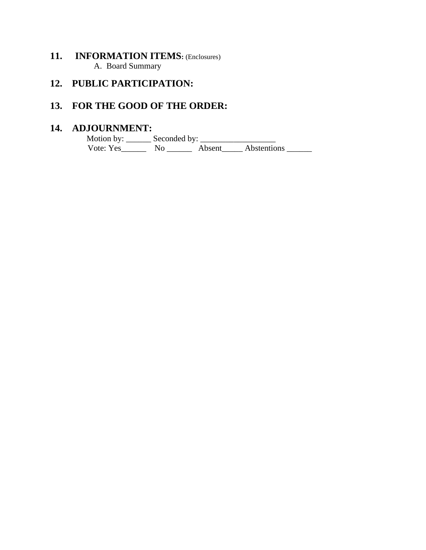### **11. INFORMATION ITEMS:** (Enclosures) A. Board Summary

# **12. PUBLIC PARTICIPATION:**

# **13. FOR THE GOOD OF THE ORDER:**

### **14. ADJOURNMENT:**

 Motion by: \_\_\_\_\_\_ Seconded by: \_\_\_\_\_\_\_\_\_\_\_\_\_\_\_\_\_\_ Vote: Yes\_\_\_\_\_\_\_\_ No \_\_\_\_\_\_\_ Absent\_\_\_\_\_\_ Abstentions \_\_\_\_\_\_\_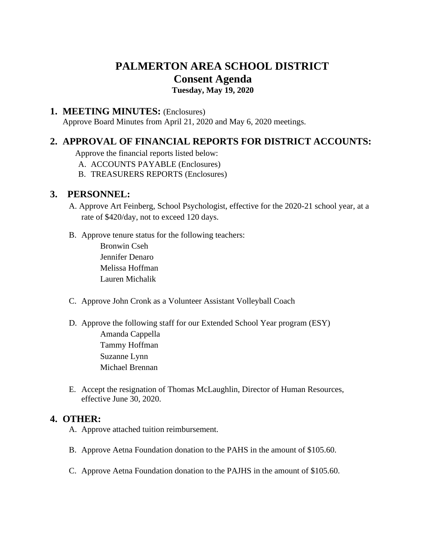# **PALMERTON AREA SCHOOL DISTRICT Consent Agenda Tuesday, May 19, 2020**

#### **1. MEETING MINUTES:** (Enclosures)

Approve Board Minutes from April 21, 2020 and May 6, 2020 meetings.

### **2. APPROVAL OF FINANCIAL REPORTS FOR DISTRICT ACCOUNTS:**

Approve the financial reports listed below:

- A. ACCOUNTS PAYABLE (Enclosures)
- B. TREASURERS REPORTS (Enclosures)

#### **3. PERSONNEL:**

- A. Approve Art Feinberg, School Psychologist, effective for the 2020-21 school year, at a rate of \$420/day, not to exceed 120 days.
- B. Approve tenure status for the following teachers:

Bronwin Cseh Jennifer Denaro Melissa Hoffman Lauren Michalik

- C. Approve John Cronk as a Volunteer Assistant Volleyball Coach
- D. Approve the following staff for our Extended School Year program (ESY) Amanda Cappella Tammy Hoffman Suzanne Lynn Michael Brennan
- E. Accept the resignation of Thomas McLaughlin, Director of Human Resources, effective June 30, 2020.

#### **4. OTHER:**

- A. Approve attached tuition reimbursement.
- B. Approve Aetna Foundation donation to the PAHS in the amount of \$105.60.
- C. Approve Aetna Foundation donation to the PAJHS in the amount of \$105.60.